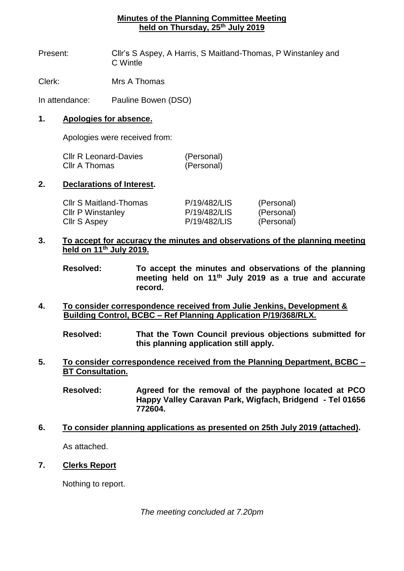# **Minutes of the Planning Committee Meeting held on Thursday, 25th July 2019**

- Present: Cllr's S Aspey, A Harris, S Maitland-Thomas, P Winstanley and C Wintle
- Clerk: Mrs A Thomas

In attendance: Pauline Bowen (DSO)

## **1. Apologies for absence.**

Apologies were received from:

| <b>CIIr R Leonard-Davies</b> | (Personal) |
|------------------------------|------------|
| Cllr A Thomas                | (Personal) |

### **2. Declarations of Interest.**

| <b>CIIr S Maitland-Thomas</b> | P/19/482/LIS | (Personal) |
|-------------------------------|--------------|------------|
| <b>CIIr P Winstanley</b>      | P/19/482/LIS | (Personal) |
| Cllr S Aspey                  | P/19/482/LIS | (Personal) |

# **3. To accept for accuracy the minutes and observations of the planning meeting held on 11th July 2019.**

**4. To consider correspondence received from Julie Jenkins, Development & Building Control, BCBC – Ref Planning Application P/19/368/RLX.**

**Resolved: That the Town Council previous objections submitted for this planning application still apply.**

- **5. To consider correspondence received from the Planning Department, BCBC – BT Consultation.**
	- **Resolved: Agreed for the removal of the payphone located at PCO Happy Valley Caravan Park, Wigfach, Bridgend - Tel 01656 772604.**
- **6. To consider planning applications as presented on 25th July 2019 (attached).** As attached.
- **7. Clerks Report**

Nothing to report.

*The meeting concluded at 7.20pm*

**Resolved: To accept the minutes and observations of the planning meeting held on 11th July 2019 as a true and accurate record.**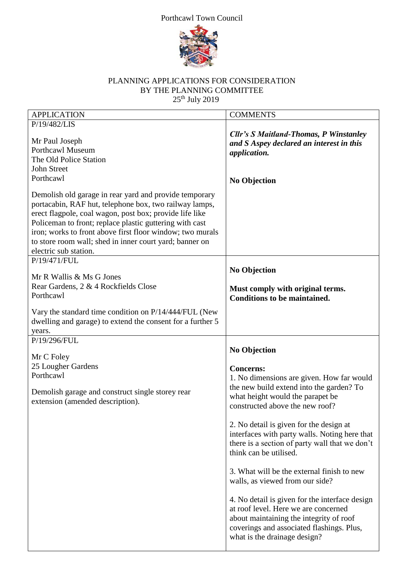### Porthcawl Town Council



# PLANNING APPLICATIONS FOR CONSIDERATION BY THE PLANNING COMMITTEE  $25<sup>th</sup>$  July 2019

| <b>APPLICATION</b>                                                                                                                                                                                                                                                                                                                                                                      | <b>COMMENTS</b>                                                                                                                                                                                                                                                                                                                                                                                                                                                                                            |
|-----------------------------------------------------------------------------------------------------------------------------------------------------------------------------------------------------------------------------------------------------------------------------------------------------------------------------------------------------------------------------------------|------------------------------------------------------------------------------------------------------------------------------------------------------------------------------------------------------------------------------------------------------------------------------------------------------------------------------------------------------------------------------------------------------------------------------------------------------------------------------------------------------------|
| P/19/482/LIS                                                                                                                                                                                                                                                                                                                                                                            |                                                                                                                                                                                                                                                                                                                                                                                                                                                                                                            |
| Mr Paul Joseph<br><b>Porthcawl Museum</b><br>The Old Police Station<br><b>John Street</b><br>Porthcawl                                                                                                                                                                                                                                                                                  | <b>Cllr's S Maitland-Thomas, P Winstanley</b><br>and S Aspey declared an interest in this<br>application.<br><b>No Objection</b>                                                                                                                                                                                                                                                                                                                                                                           |
| Demolish old garage in rear yard and provide temporary<br>portacabin, RAF hut, telephone box, two railway lamps,<br>erect flagpole, coal wagon, post box; provide life like<br>Policeman to front; replace plastic guttering with cast<br>iron; works to front above first floor window; two murals<br>to store room wall; shed in inner court yard; banner on<br>electric sub station. |                                                                                                                                                                                                                                                                                                                                                                                                                                                                                                            |
| P/19/471/FUL<br>Mr R Wallis & Ms G Jones<br>Rear Gardens, 2 & 4 Rockfields Close<br>Porthcawl<br>Vary the standard time condition on P/14/444/FUL (New<br>dwelling and garage) to extend the consent for a further 5                                                                                                                                                                    | <b>No Objection</b><br>Must comply with original terms.<br><b>Conditions to be maintained.</b>                                                                                                                                                                                                                                                                                                                                                                                                             |
| years.                                                                                                                                                                                                                                                                                                                                                                                  |                                                                                                                                                                                                                                                                                                                                                                                                                                                                                                            |
| P/19/296/FUL<br>Mr C Foley<br>25 Lougher Gardens<br>Porthcawl<br>Demolish garage and construct single storey rear                                                                                                                                                                                                                                                                       | <b>No Objection</b><br><b>Concerns:</b><br>1. No dimensions are given. How far would<br>the new build extend into the garden? To<br>what height would the parapet be                                                                                                                                                                                                                                                                                                                                       |
| extension (amended description).                                                                                                                                                                                                                                                                                                                                                        | constructed above the new roof?<br>2. No detail is given for the design at<br>interfaces with party walls. Noting here that<br>there is a section of party wall that we don't<br>think can be utilised.<br>3. What will be the external finish to new<br>walls, as viewed from our side?<br>4. No detail is given for the interface design<br>at roof level. Here we are concerned<br>about maintaining the integrity of roof<br>coverings and associated flashings. Plus,<br>what is the drainage design? |